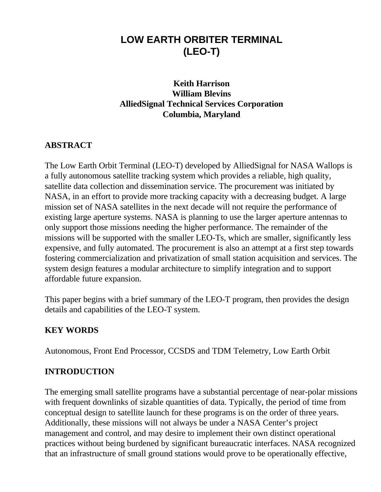# **LOW EARTH ORBITER TERMINAL (LEO-T)**

## **Keith Harrison William Blevins AlliedSignal Technical Services Corporation Columbia, Maryland**

#### **ABSTRACT**

The Low Earth Orbit Terminal (LEO-T) developed by AlliedSignal for NASA Wallops is a fully autonomous satellite tracking system which provides a reliable, high quality, satellite data collection and dissemination service. The procurement was initiated by NASA, in an effort to provide more tracking capacity with a decreasing budget. A large mission set of NASA satellites in the next decade will not require the performance of existing large aperture systems. NASA is planning to use the larger aperture antennas to only support those missions needing the higher performance. The remainder of the missions will be supported with the smaller LEO-Ts, which are smaller, significantly less expensive, and fully automated. The procurement is also an attempt at a first step towards fostering commercialization and privatization of small station acquisition and services. The system design features a modular architecture to simplify integration and to support affordable future expansion.

This paper begins with a brief summary of the LEO-T program, then provides the design details and capabilities of the LEO-T system.

#### **KEY WORDS**

Autonomous, Front End Processor, CCSDS and TDM Telemetry, Low Earth Orbit

#### **INTRODUCTION**

The emerging small satellite programs have a substantial percentage of near-polar missions with frequent downlinks of sizable quantities of data. Typically, the period of time from conceptual design to satellite launch for these programs is on the order of three years. Additionally, these missions will not always be under a NASA Center's project management and control, and may desire to implement their own distinct operational practices without being burdened by significant bureaucratic interfaces. NASA recognized that an infrastructure of small ground stations would prove to be operationally effective,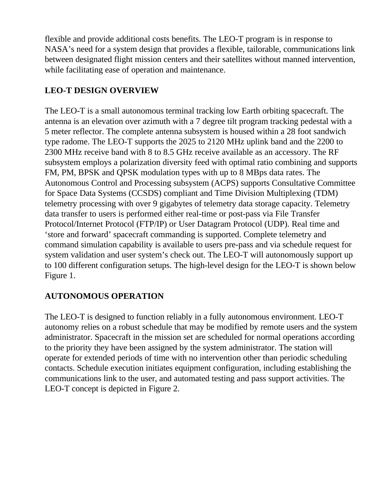flexible and provide additional costs benefits. The LEO-T program is in response to NASA's need for a system design that provides a flexible, tailorable, communications link between designated flight mission centers and their satellites without manned intervention, while facilitating ease of operation and maintenance.

## **LEO-T DESIGN OVERVIEW**

The LEO-T is a small autonomous terminal tracking low Earth orbiting spacecraft. The antenna is an elevation over azimuth with a 7 degree tilt program tracking pedestal with a 5 meter reflector. The complete antenna subsystem is housed within a 28 foot sandwich type radome. The LEO-T supports the 2025 to 2120 MHz uplink band and the 2200 to 2300 MHz receive band with 8 to 8.5 GHz receive available as an accessory. The RF subsystem employs a polarization diversity feed with optimal ratio combining and supports FM, PM, BPSK and QPSK modulation types with up to 8 MBps data rates. The Autonomous Control and Processing subsystem (ACPS) supports Consultative Committee for Space Data Systems (CCSDS) compliant and Time Division Multiplexing (TDM) telemetry processing with over 9 gigabytes of telemetry data storage capacity. Telemetry data transfer to users is performed either real-time or post-pass via File Transfer Protocol/Internet Protocol (FTP/IP) or User Datagram Protocol (UDP). Real time and 'store and forward' spacecraft commanding is supported. Complete telemetry and command simulation capability is available to users pre-pass and via schedule request for system validation and user system's check out. The LEO-T will autonomously support up to 100 different configuration setups. The high-level design for the LEO-T is shown below Figure 1.

#### **AUTONOMOUS OPERATION**

The LEO-T is designed to function reliably in a fully autonomous environment. LEO-T autonomy relies on a robust schedule that may be modified by remote users and the system administrator. Spacecraft in the mission set are scheduled for normal operations according to the priority they have been assigned by the system administrator. The station will operate for extended periods of time with no intervention other than periodic scheduling contacts. Schedule execution initiates equipment configuration, including establishing the communications link to the user, and automated testing and pass support activities. The LEO-T concept is depicted in Figure 2.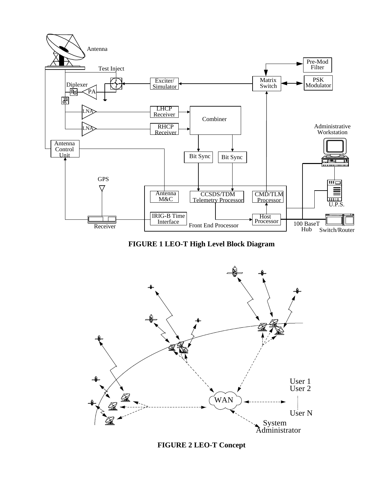

**FIGURE 1 LEO-T High Level Block Diagram**



**FIGURE 2 LEO-T Concept**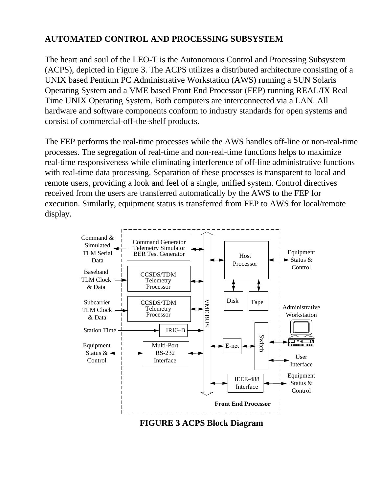## **AUTOMATED CONTROL AND PROCESSING SUBSYSTEM**

The heart and soul of the LEO-T is the Autonomous Control and Processing Subsystem (ACPS), depicted in Figure 3. The ACPS utilizes a distributed architecture consisting of a UNIX based Pentium PC Administrative Workstation (AWS) running a SUN Solaris Operating System and a VME based Front End Processor (FEP) running REAL/IX Real Time UNIX Operating System. Both computers are interconnected via a LAN. All hardware and software components conform to industry standards for open systems and consist of commercial-off-the-shelf products.

The FEP performs the real-time processes while the AWS handles off-line or non-real-time processes. The segregation of real-time and non-real-time functions helps to maximize real-time responsiveness while eliminating interference of off-line administrative functions with real-time data processing. Separation of these processes is transparent to local and remote users, providing a look and feel of a single, unified system. Control directives received from the users are transferred automatically by the AWS to the FEP for execution. Similarly, equipment status is transferred from FEP to AWS for local/remote display.



**FIGURE 3 ACPS Block Diagram**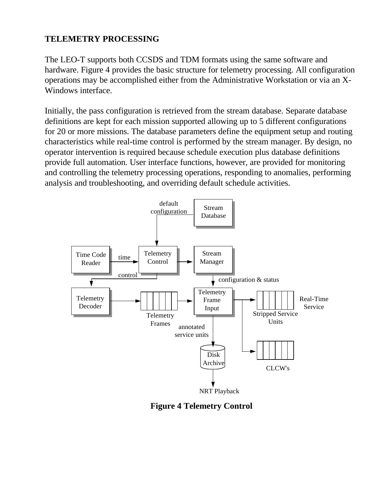## **TELEMETRY PROCESSING**

The LEO-T supports both CCSDS and TDM formats using the same software and hardware. Figure 4 provides the basic structure for telemetry processing. All configuration operations may be accomplished either from the Administrative Workstation or via an X-Windows interface.

Initially, the pass configuration is retrieved from the stream database. Separate database definitions are kept for each mission supported allowing up to 5 different configurations for 20 or more missions. The database parameters define the equipment setup and routing characteristics while real-time control is performed by the stream manager. By design, no operator intervention is required because schedule execution plus database definitions provide full automation. User interface functions, however, are provided for monitoring and controlling the telemetry processing operations, responding to anomalies, performing analysis and troubleshooting, and overriding default schedule activities.



**Figure 4 Telemetry Control**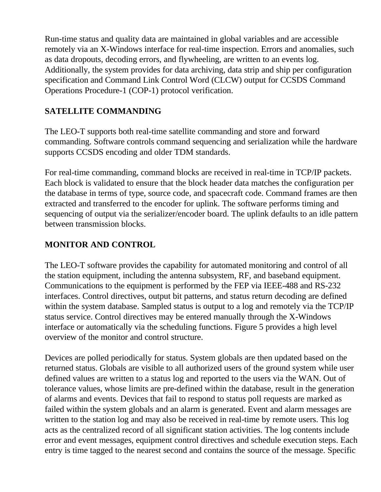Run-time status and quality data are maintained in global variables and are accessible remotely via an X-Windows interface for real-time inspection. Errors and anomalies, such as data dropouts, decoding errors, and flywheeling, are written to an events log. Additionally, the system provides for data archiving, data strip and ship per configuration specification and Command Link Control Word (CLCW) output for CCSDS Command Operations Procedure-1 (COP-1) protocol verification.

## **SATELLITE COMMANDING**

The LEO-T supports both real-time satellite commanding and store and forward commanding. Software controls command sequencing and serialization while the hardware supports CCSDS encoding and older TDM standards.

For real-time commanding, command blocks are received in real-time in TCP/IP packets. Each block is validated to ensure that the block header data matches the configuration per the database in terms of type, source code, and spacecraft code. Command frames are then extracted and transferred to the encoder for uplink. The software performs timing and sequencing of output via the serializer/encoder board. The uplink defaults to an idle pattern between transmission blocks.

## **MONITOR AND CONTROL**

The LEO-T software provides the capability for automated monitoring and control of all the station equipment, including the antenna subsystem, RF, and baseband equipment. Communications to the equipment is performed by the FEP via IEEE-488 and RS-232 interfaces. Control directives, output bit patterns, and status return decoding are defined within the system database. Sampled status is output to a log and remotely via the TCP/IP status service. Control directives may be entered manually through the X-Windows interface or automatically via the scheduling functions. Figure 5 provides a high level overview of the monitor and control structure.

Devices are polled periodically for status. System globals are then updated based on the returned status. Globals are visible to all authorized users of the ground system while user defined values are written to a status log and reported to the users via the WAN. Out of tolerance values, whose limits are pre-defined within the database, result in the generation of alarms and events. Devices that fail to respond to status poll requests are marked as failed within the system globals and an alarm is generated. Event and alarm messages are written to the station log and may also be received in real-time by remote users. This log acts as the centralized record of all significant station activities. The log contents include error and event messages, equipment control directives and schedule execution steps. Each entry is time tagged to the nearest second and contains the source of the message. Specific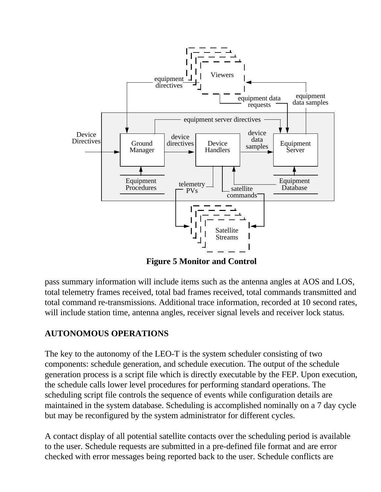

**Figure 5 Monitor and Control**

pass summary information will include items such as the antenna angles at AOS and LOS, total telemetry frames received, total bad frames received, total commands transmitted and total command re-transmissions. Additional trace information, recorded at 10 second rates, will include station time, antenna angles, receiver signal levels and receiver lock status.

## **AUTONOMOUS OPERATIONS**

The key to the autonomy of the LEO-T is the system scheduler consisting of two components: schedule generation, and schedule execution. The output of the schedule generation process is a script file which is directly executable by the FEP. Upon execution, the schedule calls lower level procedures for performing standard operations. The scheduling script file controls the sequence of events while configuration details are maintained in the system database. Scheduling is accomplished nominally on a 7 day cycle but may be reconfigured by the system administrator for different cycles.

A contact display of all potential satellite contacts over the scheduling period is available to the user. Schedule requests are submitted in a pre-defined file format and are error checked with error messages being reported back to the user. Schedule conflicts are